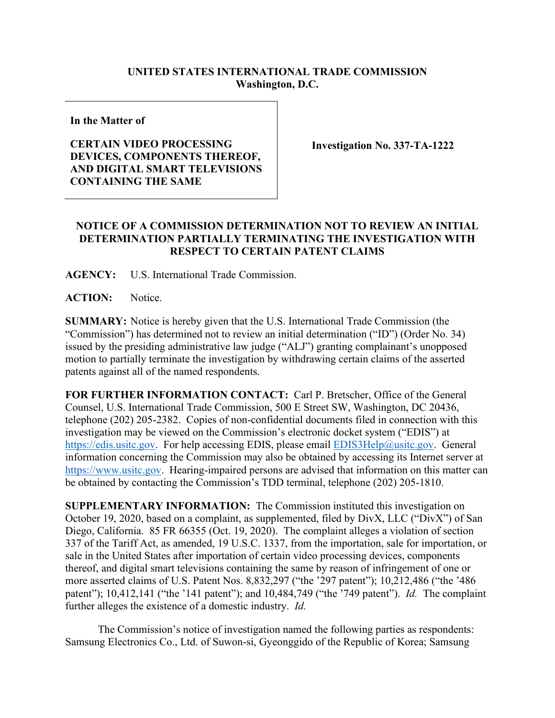## **UNITED STATES INTERNATIONAL TRADE COMMISSION Washington, D.C.**

**In the Matter of**

## **CERTAIN VIDEO PROCESSING DEVICES, COMPONENTS THEREOF, AND DIGITAL SMART TELEVISIONS CONTAINING THE SAME**

**Investigation No. 337-TA-1222**

## **NOTICE OF A COMMISSION DETERMINATION NOT TO REVIEW AN INITIAL DETERMINATION PARTIALLY TERMINATING THE INVESTIGATION WITH RESPECT TO CERTAIN PATENT CLAIMS**

**AGENCY:** U.S. International Trade Commission.

ACTION: Notice.

**SUMMARY:** Notice is hereby given that the U.S. International Trade Commission (the "Commission") has determined not to review an initial determination ("ID") (Order No. 34) issued by the presiding administrative law judge ("ALJ") granting complainant's unopposed motion to partially terminate the investigation by withdrawing certain claims of the asserted patents against all of the named respondents.

**FOR FURTHER INFORMATION CONTACT:** Carl P. Bretscher, Office of the General Counsel, U.S. International Trade Commission, 500 E Street SW, Washington, DC 20436, telephone (202) 205-2382. Copies of non-confidential documents filed in connection with this investigation may be viewed on the Commission's electronic docket system ("EDIS") at [https://edis.usitc.gov.](https://edis.usitc.gov/) For help accessing EDIS, please email [EDIS3Help@usitc.gov.](mailto:EDIS3Help@usitc.gov) General information concerning the Commission may also be obtained by accessing its Internet server at [https://www.usitc.gov.](https://www.usitc.gov/) Hearing-impaired persons are advised that information on this matter can be obtained by contacting the Commission's TDD terminal, telephone (202) 205-1810.

**SUPPLEMENTARY INFORMATION:** The Commission instituted this investigation on October 19, 2020, based on a complaint, as supplemented, filed by DivX, LLC ("DivX") of San Diego, California. 85 FR 66355 (Oct. 19, 2020). The complaint alleges a violation of section 337 of the Tariff Act, as amended, 19 U.S.C. 1337, from the importation, sale for importation, or sale in the United States after importation of certain video processing devices, components thereof, and digital smart televisions containing the same by reason of infringement of one or more asserted claims of U.S. Patent Nos. 8,832,297 ("the '297 patent"); 10,212,486 ("the '486 patent"); 10,412,141 ("the '141 patent"); and 10,484,749 ("the '749 patent"). *Id.* The complaint further alleges the existence of a domestic industry. *Id.*

The Commission's notice of investigation named the following parties as respondents: Samsung Electronics Co., Ltd. of Suwon-si, Gyeonggido of the Republic of Korea; Samsung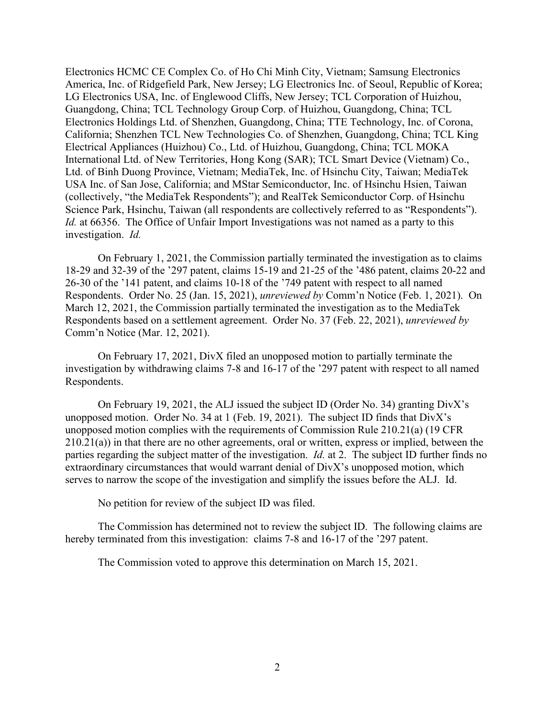Electronics HCMC CE Complex Co. of Ho Chi Minh City, Vietnam; Samsung Electronics America, Inc. of Ridgefield Park, New Jersey; LG Electronics Inc. of Seoul, Republic of Korea; LG Electronics USA, Inc. of Englewood Cliffs, New Jersey; TCL Corporation of Huizhou, Guangdong, China; TCL Technology Group Corp. of Huizhou, Guangdong, China; TCL Electronics Holdings Ltd. of Shenzhen, Guangdong, China; TTE Technology, Inc. of Corona, California; Shenzhen TCL New Technologies Co. of Shenzhen, Guangdong, China; TCL King Electrical Appliances (Huizhou) Co., Ltd. of Huizhou, Guangdong, China; TCL MOKA International Ltd. of New Territories, Hong Kong (SAR); TCL Smart Device (Vietnam) Co., Ltd. of Binh Duong Province, Vietnam; MediaTek, Inc. of Hsinchu City, Taiwan; MediaTek USA Inc. of San Jose, California; and MStar Semiconductor, Inc. of Hsinchu Hsien, Taiwan (collectively, "the MediaTek Respondents"); and RealTek Semiconductor Corp. of Hsinchu Science Park, Hsinchu, Taiwan (all respondents are collectively referred to as "Respondents"). *Id.* at 66356. The Office of Unfair Import Investigations was not named as a party to this investigation. *Id.*

On February 1, 2021, the Commission partially terminated the investigation as to claims 18-29 and 32-39 of the '297 patent, claims 15-19 and 21-25 of the '486 patent, claims 20-22 and 26-30 of the '141 patent, and claims 10-18 of the '749 patent with respect to all named Respondents. Order No. 25 (Jan. 15, 2021), *unreviewed by* Comm'n Notice (Feb. 1, 2021). On March 12, 2021, the Commission partially terminated the investigation as to the MediaTek Respondents based on a settlement agreement. Order No. 37 (Feb. 22, 2021), *unreviewed by* Comm'n Notice (Mar. 12, 2021).

On February 17, 2021, DivX filed an unopposed motion to partially terminate the investigation by withdrawing claims 7-8 and 16-17 of the '297 patent with respect to all named Respondents.

On February 19, 2021, the ALJ issued the subject ID (Order No. 34) granting DivX's unopposed motion. Order No. 34 at 1 (Feb. 19, 2021). The subject ID finds that DivX's unopposed motion complies with the requirements of Commission Rule 210.21(a) (19 CFR 210.21(a)) in that there are no other agreements, oral or written, express or implied, between the parties regarding the subject matter of the investigation. *Id.* at 2. The subject ID further finds no extraordinary circumstances that would warrant denial of DivX's unopposed motion, which serves to narrow the scope of the investigation and simplify the issues before the ALJ. Id.

No petition for review of the subject ID was filed.

The Commission has determined not to review the subject ID. The following claims are hereby terminated from this investigation: claims 7-8 and 16-17 of the '297 patent.

The Commission voted to approve this determination on March 15, 2021.